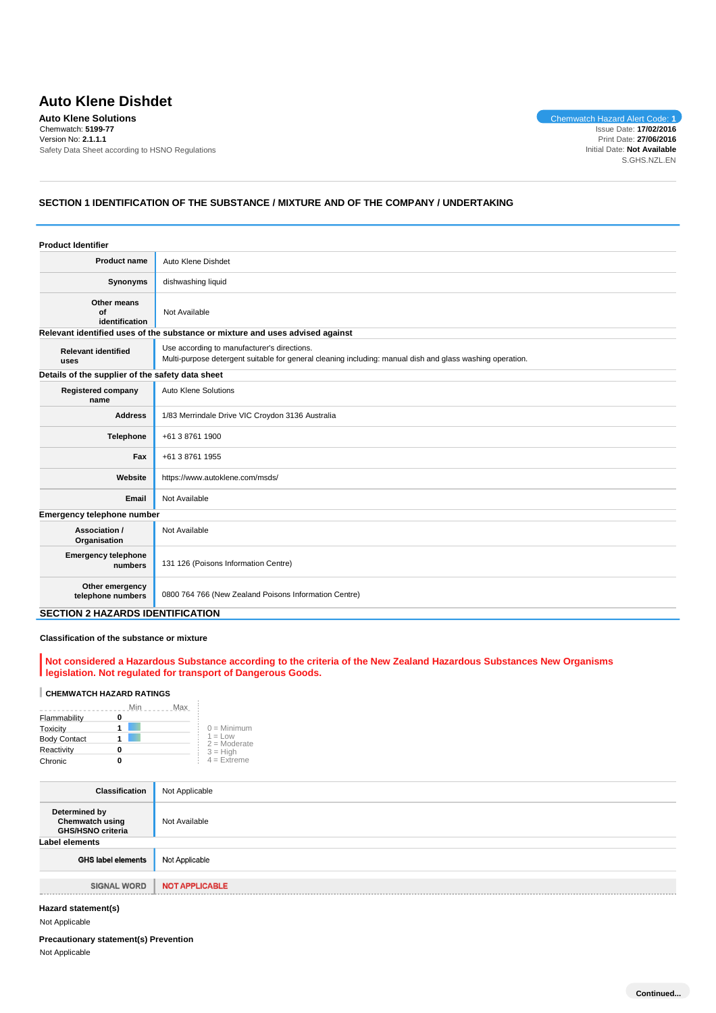# **Auto Klene Dishdet**

**Auto Klene Solutions** Chemwatch Hazard Alert Code: **1** Chemwatch: **5199-77** Version No: **2.1.1.1** Safety Data Sheet according to HSNO Regulations

Issue Date: **17/02/2016** Print Date: **27/06/2016** Initial Date: **Not Available** S.GHS.NZL.EN

# **SECTION 1 IDENTIFICATION OF THE SUBSTANCE / MIXTURE AND OF THE COMPANY / UNDERTAKING**

| <b>Product Identifier</b>                        |                                                                                                                                                          |  |
|--------------------------------------------------|----------------------------------------------------------------------------------------------------------------------------------------------------------|--|
| Product name                                     | Auto Klene Dishdet                                                                                                                                       |  |
| Synonyms                                         | dishwashing liquid                                                                                                                                       |  |
| Other means<br>Ωf<br>identification              | Not Available                                                                                                                                            |  |
|                                                  | Relevant identified uses of the substance or mixture and uses advised against                                                                            |  |
| <b>Relevant identified</b><br>uses               | Use according to manufacturer's directions.<br>Multi-purpose detergent suitable for general cleaning including: manual dish and glass washing operation. |  |
| Details of the supplier of the safety data sheet |                                                                                                                                                          |  |
| <b>Registered company</b><br>name                | Auto Klene Solutions                                                                                                                                     |  |
| <b>Address</b>                                   | 1/83 Merrindale Drive VIC Croydon 3136 Australia                                                                                                         |  |
| <b>Telephone</b>                                 | +61 3 8761 1900                                                                                                                                          |  |
| Fax<br>+61 3 8761 1955                           |                                                                                                                                                          |  |
| Website                                          | https://www.autoklene.com/msds/                                                                                                                          |  |
| Email                                            | Not Available                                                                                                                                            |  |
| Emergency telephone number                       |                                                                                                                                                          |  |
| Association /<br>Organisation                    | Not Available                                                                                                                                            |  |
| <b>Emergency telephone</b><br>numbers            | 131 126 (Poisons Information Centre)                                                                                                                     |  |
| Other emergency<br>telephone numbers             | 0800 764 766 (New Zealand Poisons Information Centre)                                                                                                    |  |
| <b>SECTION 2 HAZARDS IDENTIFICATION</b>          |                                                                                                                                                          |  |

#### **Classification of the substance or mixture**

#### **Not considered a Hazardous Substance according to the criteria of the New Zealand Hazardous Substances New Organisms legislation. Not regulated for transport of Dangerous Goods.**

# **CHEMWATCH HAZARD RATINGS**

|                     | Min<br>Max |                             |
|---------------------|------------|-----------------------------|
| Flammability        |            |                             |
| Toxicity            |            | $0 =$ Minimum               |
| <b>Body Contact</b> |            | $1 = Low$<br>$2 =$ Moderate |
| Reactivity          |            | $3 = High$                  |
| Chronic             |            | $4 = Ex$ treme              |

 $\bar{z}$ 

| <b>Classification</b>                                               | Not Applicable        |
|---------------------------------------------------------------------|-----------------------|
| Determined by<br><b>Chemwatch using</b><br><b>GHS/HSNO criteria</b> | Not Available         |
| Label elements                                                      |                       |
| <b>GHS label elements</b>                                           | Not Applicable        |
|                                                                     |                       |
| <b>SIGNAL WORD</b>                                                  | <b>NOT APPLICABLE</b> |
|                                                                     |                       |

## **Hazard statement(s)**

Not Applicable

#### **Precautionary statement(s) Prevention**

Not Applicable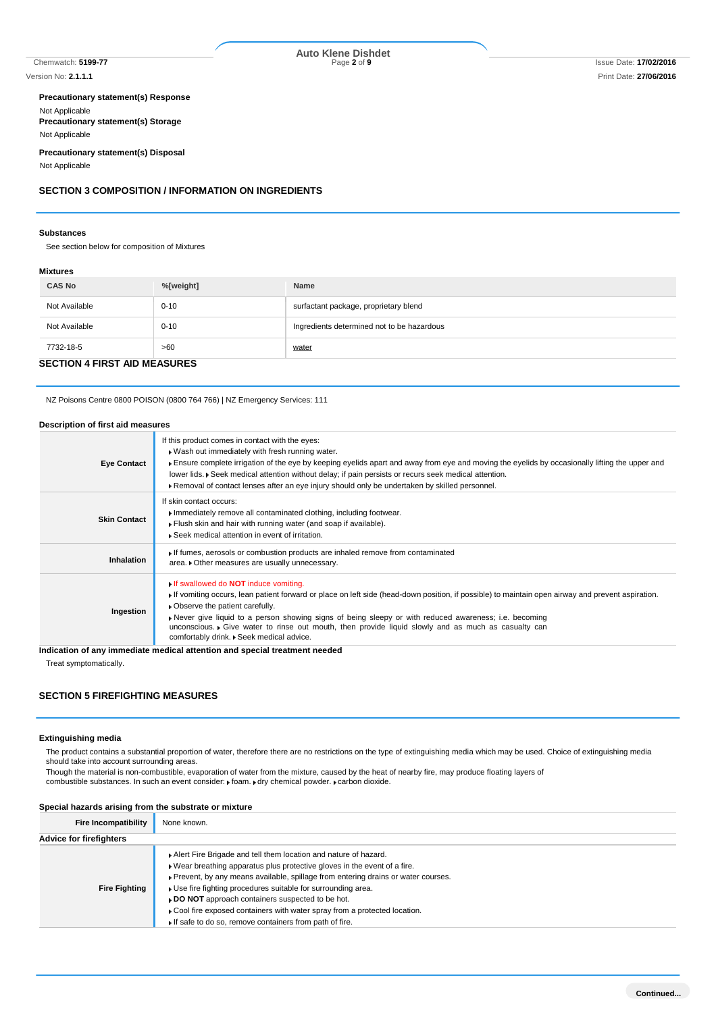Chemwatch: **5199-77** Page **2** of **9** Issue Date: **17/02/2016 Auto Klene Dishdet**

#### **Precautionary statement(s) Response** Not Applicable **Precautionary statement(s) Storage**

Not Applicable

# **Precautionary statement(s) Disposal**

Not Applicable

# **SECTION 3 COMPOSITION / INFORMATION ON INGREDIENTS**

#### **Substances**

See section below for composition of Mixtures

#### **Mixtures**

| <b>CAS No</b> | %[weight]                           | Name                                       |  |  |  |  |
|---------------|-------------------------------------|--------------------------------------------|--|--|--|--|
| Not Available | $0 - 10$                            | surfactant package, proprietary blend      |  |  |  |  |
| Not Available | $0 - 10$                            | Ingredients determined not to be hazardous |  |  |  |  |
| 7732-18-5     | >60                                 | water                                      |  |  |  |  |
|               | <b>SECTION 4 FIRST AID MEASURES</b> |                                            |  |  |  |  |

NZ Poisons Centre 0800 POISON (0800 764 766) | NZ Emergency Services: 111

#### **Description of first aid measures**

| <b>Eye Contact</b>  | If this product comes in contact with the eyes:<br>. Wash out immediately with fresh running water.<br>Ensure complete irrigation of the eye by keeping eyelids apart and away from eye and moving the eyelids by occasionally lifting the upper and<br>lower lids. Seek medical attention without delay; if pain persists or recurs seek medical attention.<br>▶ Removal of contact lenses after an eye injury should only be undertaken by skilled personnel.                                |
|---------------------|------------------------------------------------------------------------------------------------------------------------------------------------------------------------------------------------------------------------------------------------------------------------------------------------------------------------------------------------------------------------------------------------------------------------------------------------------------------------------------------------|
| <b>Skin Contact</b> | If skin contact occurs:<br>Immediately remove all contaminated clothing, including footwear.<br>Flush skin and hair with running water (and soap if available).<br>▶ Seek medical attention in event of irritation.                                                                                                                                                                                                                                                                            |
| <b>Inhalation</b>   | If fumes, aerosols or combustion products are inhaled remove from contaminated<br>area. • Other measures are usually unnecessary.                                                                                                                                                                                                                                                                                                                                                              |
| Ingestion           | If swallowed do <b>NOT</b> induce vomiting.<br>If vomiting occurs, lean patient forward or place on left side (head-down position, if possible) to maintain open airway and prevent aspiration.<br>• Observe the patient carefully.<br>Never give liquid to a person showing signs of being sleepy or with reduced awareness; i.e. becoming<br>unconscious. Give water to rinse out mouth, then provide liquid slowly and as much as casualty can<br>comfortably drink. . Seek medical advice. |
|                     | Indication of any immediate medical attention and special treatment needed                                                                                                                                                                                                                                                                                                                                                                                                                     |

Treat symptomatically.

# **SECTION 5 FIREFIGHTING MEASURES**

#### **Extinguishing media**

The product contains a substantial proportion of water, therefore there are no restrictions on the type of extinguishing media which may be used. Choice of extinguishing media should take into account surrounding areas.

Though the material is non-combustible, evaporation of water from the mixture, caused by the heat of nearby fire, may produce floating layers of combustible substances. In such an event consider:  $\cdot$  foam.  $\cdot$  dry chemical powder.  $\cdot$  carbon dioxide.

#### **Special hazards arising from the substrate or mixture**

| <b>Fire Incompatibility</b>    | None known.                                                                                                                                                                                                                                                                                                                                                                                                                                                                                    |
|--------------------------------|------------------------------------------------------------------------------------------------------------------------------------------------------------------------------------------------------------------------------------------------------------------------------------------------------------------------------------------------------------------------------------------------------------------------------------------------------------------------------------------------|
| <b>Advice for firefighters</b> |                                                                                                                                                                                                                                                                                                                                                                                                                                                                                                |
| <b>Fire Fighting</b>           | Alert Fire Brigade and tell them location and nature of hazard.<br>. Wear breathing apparatus plus protective gloves in the event of a fire.<br>▶ Prevent, by any means available, spillage from entering drains or water courses.<br>• Use fire fighting procedures suitable for surrounding area.<br>DO NOT approach containers suspected to be hot.<br>▶ Cool fire exposed containers with water spray from a protected location.<br>If safe to do so, remove containers from path of fire. |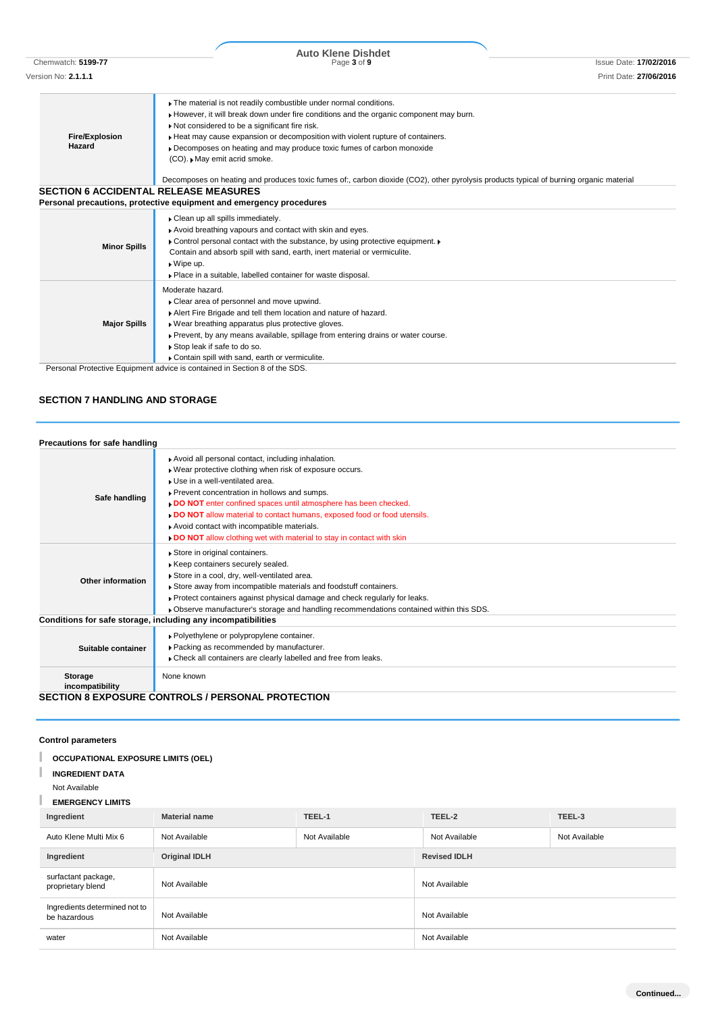|  |  | ا <b>1-37 ال</b> . الياباناتارات |  |  |  |  |
|--|--|----------------------------------|--|--|--|--|
|  |  |                                  |  |  |  |  |

| <b>Fire/Explosion</b><br>Hazard              | The material is not readily combustible under normal conditions.<br>However, it will break down under fire conditions and the organic component may burn.<br>Not considered to be a significant fire risk.<br>Heat may cause expansion or decomposition with violent rupture of containers.<br>• Decomposes on heating and may produce toxic fumes of carbon monoxide<br>(CO). May emit acrid smoke. |
|----------------------------------------------|------------------------------------------------------------------------------------------------------------------------------------------------------------------------------------------------------------------------------------------------------------------------------------------------------------------------------------------------------------------------------------------------------|
| <b>SECTION 6 ACCIDENTAL RELEASE MEASURES</b> | Decomposes on heating and produces toxic fumes of:, carbon dioxide (CO2), other pyrolysis products typical of burning organic material<br>Personal precautions, protective equipment and emergency procedures                                                                                                                                                                                        |
|                                              |                                                                                                                                                                                                                                                                                                                                                                                                      |

| Avoid breathing vapours and contact with skin and eyes. | • Control personal contact with the substance, by using protective equipment. •                                                                                                                                                                                                                                                         |
|---------------------------------------------------------|-----------------------------------------------------------------------------------------------------------------------------------------------------------------------------------------------------------------------------------------------------------------------------------------------------------------------------------------|
| <b>Minor Spills</b>                                     | Contain and absorb spill with sand, earth, inert material or vermiculite.                                                                                                                                                                                                                                                               |
| $\triangleright$ Wipe up.                               | • Place in a suitable, labelled container for waste disposal.                                                                                                                                                                                                                                                                           |
| Moderate hazard.<br><b>Major Spills</b>                 | • Clear area of personnel and move upwind.<br>Alert Fire Brigade and tell them location and nature of hazard.<br>. Wear breathing apparatus plus protective gloves.<br>Prevent, by any means available, spillage from entering drains or water course.<br>Stop leak if safe to do so.<br>Contain spill with sand, earth or vermiculite. |

Personal Protective Equipment advice is contained in Section 8 of the SDS.

# **SECTION 7 HANDLING AND STORAGE**

| Precautions for safe handling |                                                                                                                                                                                                                                                                                                                                                                                                                                                                          |
|-------------------------------|--------------------------------------------------------------------------------------------------------------------------------------------------------------------------------------------------------------------------------------------------------------------------------------------------------------------------------------------------------------------------------------------------------------------------------------------------------------------------|
| Safe handling                 | Avoid all personal contact, including inhalation.<br>. Wear protective clothing when risk of exposure occurs.<br>Use in a well-ventilated area.<br>▶ Prevent concentration in hollows and sumps.<br>DO NOT enter confined spaces until atmosphere has been checked.<br>. DO NOT allow material to contact humans, exposed food or food utensils.<br>Avoid contact with incompatible materials.<br>. DO NOT allow clothing wet with material to stay in contact with skin |
| Other information             | Store in original containers.<br>Keep containers securely sealed.<br>Store in a cool, dry, well-ventilated area.<br>Store away from incompatible materials and foodstuff containers.<br>▶ Protect containers against physical damage and check regularly for leaks.<br>▶ Observe manufacturer's storage and handling recommendations contained within this SDS.                                                                                                          |
|                               | Conditions for safe storage, including any incompatibilities                                                                                                                                                                                                                                                                                                                                                                                                             |
| Suitable container            | ▶ Polyethylene or polypropylene container.<br>▶ Packing as recommended by manufacturer.<br>Check all containers are clearly labelled and free from leaks.                                                                                                                                                                                                                                                                                                                |
| Storage<br>incompatibility    | None known                                                                                                                                                                                                                                                                                                                                                                                                                                                               |
|                               | <b>SECTION 8 EXPOSURE CONTROLS / PERSONAL PROTECTION</b>                                                                                                                                                                                                                                                                                                                                                                                                                 |

**Control parameters**

| <b>OCCUPATIONAL EXPOSURE LIMITS (OEL)</b> |  |
|-------------------------------------------|--|
|                                           |  |

**INGREDIENT DATA**

Not Available

п

T **EMERGENCY LIMITS**

| Ingredient                                    | <b>Material name</b>           | TEEL-1        | TEEL-2              | TEEL-3        |  |
|-----------------------------------------------|--------------------------------|---------------|---------------------|---------------|--|
| Auto Klene Multi Mix 6                        | Not Available                  | Not Available | Not Available       | Not Available |  |
| Ingredient                                    | <b>Original IDLH</b>           |               | <b>Revised IDLH</b> |               |  |
| surfactant package,<br>proprietary blend      | Not Available<br>Not Available |               | Not Available       |               |  |
| Ingredients determined not to<br>be hazardous |                                |               | Not Available       |               |  |
| water                                         | Not Available                  |               | Not Available       |               |  |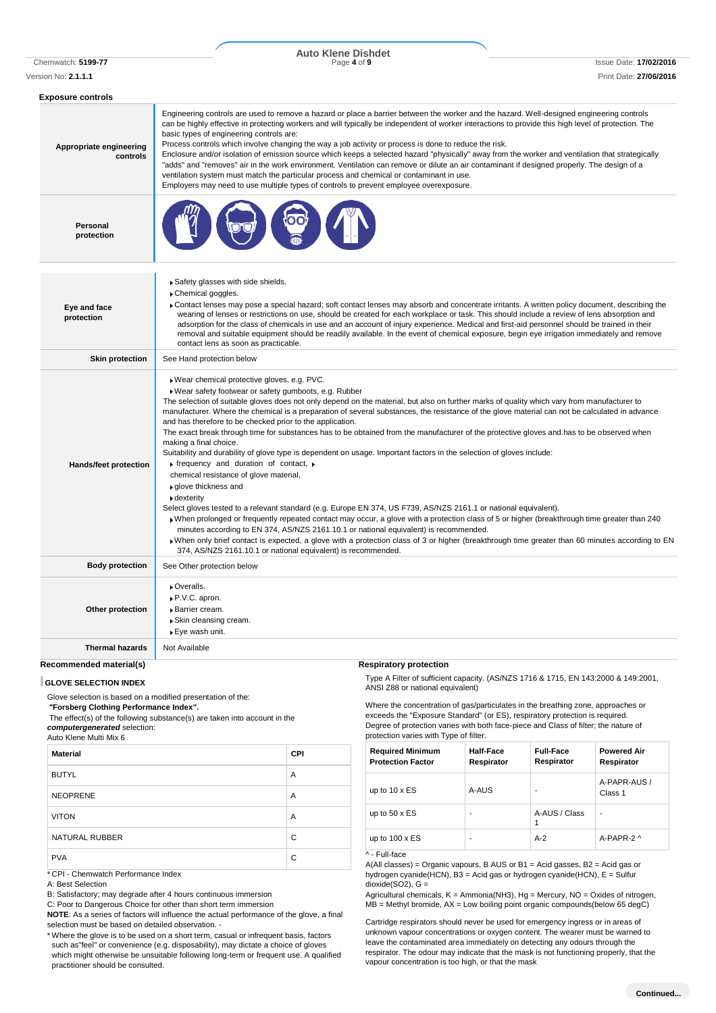# Chemwatch: **5199-77** Page **4** of **9** Issue Date: **17/02/2016 Auto Klene Dishdet**

| Exposure controls                   |                                                                                                                                                                                                                                                                                                                                                                                                                                                                                                                                                                                                                                                                                                                                                                                                                                                                                                                                                                                                                                                                                                                                                                                                                                                                                                                                                                                                                                                                                                                |
|-------------------------------------|----------------------------------------------------------------------------------------------------------------------------------------------------------------------------------------------------------------------------------------------------------------------------------------------------------------------------------------------------------------------------------------------------------------------------------------------------------------------------------------------------------------------------------------------------------------------------------------------------------------------------------------------------------------------------------------------------------------------------------------------------------------------------------------------------------------------------------------------------------------------------------------------------------------------------------------------------------------------------------------------------------------------------------------------------------------------------------------------------------------------------------------------------------------------------------------------------------------------------------------------------------------------------------------------------------------------------------------------------------------------------------------------------------------------------------------------------------------------------------------------------------------|
| Appropriate engineering<br>controls | Engineering controls are used to remove a hazard or place a barrier between the worker and the hazard. Well-designed engineering controls<br>can be highly effective in protecting workers and will typically be independent of worker interactions to provide this high level of protection. The<br>basic types of engineering controls are:<br>Process controls which involve changing the way a job activity or process is done to reduce the risk.<br>Enclosure and/or isolation of emission source which keeps a selected hazard "physically" away from the worker and ventilation that strategically<br>"adds" and "removes" air in the work environment. Ventilation can remove or dilute an air contaminant if designed properly. The design of a<br>ventilation system must match the particular process and chemical or contaminant in use.<br>Employers may need to use multiple types of controls to prevent employee overexposure.                                                                                                                                                                                                                                                                                                                                                                                                                                                                                                                                                                |
| Personal<br>protection              |                                                                                                                                                                                                                                                                                                                                                                                                                                                                                                                                                                                                                                                                                                                                                                                                                                                                                                                                                                                                                                                                                                                                                                                                                                                                                                                                                                                                                                                                                                                |
| Eye and face<br>protection          | Safety glasses with side shields.<br>Chemical goggles.<br>► Contact lenses may pose a special hazard; soft contact lenses may absorb and concentrate irritants. A written policy document, describing the<br>wearing of lenses or restrictions on use, should be created for each workplace or task. This should include a review of lens absorption and<br>adsorption for the class of chemicals in use and an account of injury experience. Medical and first-aid personnel should be trained in their<br>removal and suitable equipment should be readily available. In the event of chemical exposure, begin eye irrigation immediately and remove<br>contact lens as soon as practicable.                                                                                                                                                                                                                                                                                                                                                                                                                                                                                                                                                                                                                                                                                                                                                                                                                 |
| <b>Skin protection</b>              | See Hand protection below                                                                                                                                                                                                                                                                                                                                                                                                                                                                                                                                                                                                                                                                                                                                                                                                                                                                                                                                                                                                                                                                                                                                                                                                                                                                                                                                                                                                                                                                                      |
| <b>Hands/feet protection</b>        | ▶ Wear chemical protective gloves, e.g. PVC.<br>. Wear safety footwear or safety gumboots, e.g. Rubber<br>The selection of suitable gloves does not only depend on the material, but also on further marks of quality which vary from manufacturer to<br>manufacturer. Where the chemical is a preparation of several substances, the resistance of the glove material can not be calculated in advance<br>and has therefore to be checked prior to the application.<br>The exact break through time for substances has to be obtained from the manufacturer of the protective gloves and has to be observed when<br>making a final choice.<br>Suitability and durability of glove type is dependent on usage. Important factors in the selection of gloves include:<br>$\triangleright$ frequency and duration of contact, $\triangleright$<br>chemical resistance of glove material,<br>▶ glove thickness and<br>▶ dexterity<br>Select gloves tested to a relevant standard (e.g. Europe EN 374, US F739, AS/NZS 2161.1 or national equivalent).<br>When prolonged or frequently repeated contact may occur, a glove with a protection class of 5 or higher (breakthrough time greater than 240<br>minutes according to EN 374, AS/NZS 2161.10.1 or national equivalent) is recommended.<br>>When only brief contact is expected, a glove with a protection class of 3 or higher (breakthrough time greater than 60 minutes according to EN<br>374, AS/NZS 2161.10.1 or national equivalent) is recommended. |
| <b>Body protection</b>              | See Other protection below                                                                                                                                                                                                                                                                                                                                                                                                                                                                                                                                                                                                                                                                                                                                                                                                                                                                                                                                                                                                                                                                                                                                                                                                                                                                                                                                                                                                                                                                                     |
| Other protection                    | ▶ Overalls.<br>▶ P.V.C. apron.<br>▶ Barrier cream.<br>▶ Skin cleansing cream.<br>▶ Eye wash unit.                                                                                                                                                                                                                                                                                                                                                                                                                                                                                                                                                                                                                                                                                                                                                                                                                                                                                                                                                                                                                                                                                                                                                                                                                                                                                                                                                                                                              |
| <b>Thermal hazards</b>              | Not Available                                                                                                                                                                                                                                                                                                                                                                                                                                                                                                                                                                                                                                                                                                                                                                                                                                                                                                                                                                                                                                                                                                                                                                                                                                                                                                                                                                                                                                                                                                  |

**Recommended material(s)**

#### **GLOVE SELECTION INDEX**

Glove selection is based on a modified presentation of the: *"***Forsberg Clothing Performance Index".**

The effect(s) of the following substance(s) are taken into account in the *computergenerated* selection:

Auto Klene Multi Mix 6

| <b>Material</b>       | <b>CPI</b> |
|-----------------------|------------|
| <b>BUTYL</b>          | A          |
| <b>NEOPRENE</b>       | A          |
| <b>VITON</b>          | A          |
| <b>NATURAL RUBBER</b> | C          |
| <b>PVA</b>            | C          |

\* CPI - Chemwatch Performance Index

A: Best Selection

B: Satisfactory; may degrade after 4 hours continuous immersion

C: Poor to Dangerous Choice for other than short term immersion

**NOTE**: As a series of factors will influence the actual performance of the glove, a final selection must be based on detailed observation. -

\* Where the glove is to be used on a short term, casual or infrequent basis, factors such as"feel" or convenience (e.g. disposability), may dictate a choice of gloves which might otherwise be unsuitable following long-term or frequent use. A qualified practitioner should be consulted.

#### **Respiratory protection**

Type A Filter of sufficient capacity. (AS/NZS 1716 & 1715, EN 143:2000 & 149:2001, ANSI Z88 or national equivalent)

Where the concentration of gas/particulates in the breathing zone, approaches or exceeds the "Exposure Standard" (or ES), respiratory protection is required. Degree of protection varies with both face-piece and Class of filter; the nature of protection varies with Type of filter.

| <b>Required Minimum</b><br><b>Protection Factor</b> | <b>Half-Face</b><br>Respirator | <b>Full-Face</b><br>Respirator | <b>Powered Air</b><br>Respirator |
|-----------------------------------------------------|--------------------------------|--------------------------------|----------------------------------|
| up to $10 \times ES$                                | A-AUS                          |                                | A-PAPR-AUS /<br>Class 1          |
| up to $50 \times ES$                                |                                | A-AUS / Class                  |                                  |
| up to $100 \times ES$                               |                                | $A-2$                          | A-PAPR-2 ^                       |

^ - Full-face

A(All classes) = Organic vapours, B AUS or B1 = Acid gasses, B2 = Acid gas or hydrogen cyanide(HCN), B3 = Acid gas or hydrogen cyanide(HCN), E = Sulfur dioxide(SO2), G =

Agricultural chemicals, K = Ammonia(NH3), Hg = Mercury, NO = Oxides of nitrogen,  $MB =$  Methyl bromide,  $AX =$  Low boiling point organic compounds(below 65 degC)

Cartridge respirators should never be used for emergency ingress or in areas of unknown vapour concentrations or oxygen content. The wearer must be warned to leave the contaminated area immediately on detecting any odours through the respirator. The odour may indicate that the mask is not functioning properly, that the vapour concentration is too high, or that the mask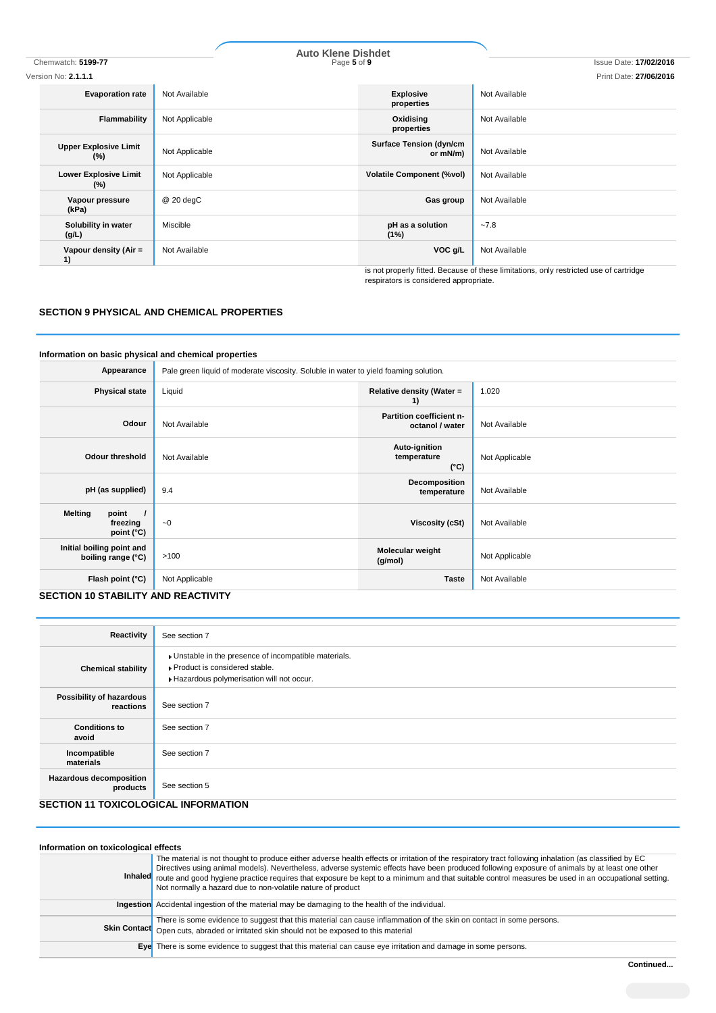| Chemwatch: 5199-77                     | <b>Auto Klene Dishdet</b><br>Page 5 of 9 |                                            | <b>Issue Date: 17/02/2016</b>                                                          |
|----------------------------------------|------------------------------------------|--------------------------------------------|----------------------------------------------------------------------------------------|
| Version No: <b>2.1.1.1</b>             |                                          |                                            | Print Date: 27/06/2016                                                                 |
| <b>Evaporation rate</b>                | Not Available                            | <b>Explosive</b><br>properties             | Not Available                                                                          |
| Flammability                           | Not Applicable                           | Oxidising<br>properties                    | Not Available                                                                          |
| <b>Upper Explosive Limit</b><br>$(\%)$ | Not Applicable                           | <b>Surface Tension (dyn/cm</b><br>or mN/m) | Not Available                                                                          |
| <b>Lower Explosive Limit</b><br>$(\%)$ | Not Applicable                           | <b>Volatile Component (%vol)</b>           | Not Available                                                                          |
| Vapour pressure<br>(kPa)               | $@20$ degC                               | Gas group                                  | Not Available                                                                          |
| Solubility in water<br>(g/L)           | Miscible                                 | pH as a solution<br>(1%)                   | $-7.8$                                                                                 |
| Vapour density (Air =<br>1)            | Not Available                            | VOC g/L                                    | Not Available                                                                          |
|                                        |                                          |                                            | is not properly fitted. Because of these limitations, only restricted use of cartridge |

respirators is considered appropriate.

# **SECTION 9 PHYSICAL AND CHEMICAL PROPERTIES**

#### **Information on basic physical and chemical properties**

| Appearance                                                 | Pale green liquid of moderate viscosity. Soluble in water to yield foaming solution. |                                               |                |
|------------------------------------------------------------|--------------------------------------------------------------------------------------|-----------------------------------------------|----------------|
| <b>Physical state</b>                                      | Liquid                                                                               | Relative density (Water =<br>1)               | 1.020          |
| Odour                                                      | Not Available                                                                        | Partition coefficient n-<br>octanol / water   | Not Available  |
| <b>Odour threshold</b>                                     | Not Available                                                                        | Auto-ignition<br>temperature<br>$(^{\circ}C)$ | Not Applicable |
| pH (as supplied)                                           | 9.4                                                                                  | Decomposition<br>temperature                  | Not Available  |
| <b>Melting</b><br>point<br>freezing<br>point $(^{\circ}C)$ | $-0$                                                                                 | Viscosity (cSt)                               | Not Available  |
| Initial boiling point and<br>boiling range (°C)            | >100                                                                                 | Molecular weight<br>(g/mol)                   | Not Applicable |
| Flash point (°C)                                           | Not Applicable                                                                       | <b>Taste</b>                                  | Not Available  |

# **SECTION 10 STABILITY AND REACTIVITY**

| Reactivity                                  | See section 7                                                                                                                        |
|---------------------------------------------|--------------------------------------------------------------------------------------------------------------------------------------|
| <b>Chemical stability</b>                   | • Unstable in the presence of incompatible materials.<br>▶ Product is considered stable.<br>Hazardous polymerisation will not occur. |
| Possibility of hazardous<br>reactions       | See section 7                                                                                                                        |
| <b>Conditions to</b><br>avoid               | See section 7                                                                                                                        |
| Incompatible<br>materials                   | See section 7                                                                                                                        |
| <b>Hazardous decomposition</b><br>products  | See section 5                                                                                                                        |
| <b>SECTION 11 TOXICOLOGICAL INFORMATION</b> |                                                                                                                                      |

#### **Information on toxicological effects Inhaled** The material is not thought to produce either adverse health effects or irritation of the respiratory tract following inhalation (as classified by EC Directives using animal models). Nevertheless, adverse systemic effects have been produced following exposure of animals by at least one other route and good hygiene practice requires that exposure be kept to a minimum and that suitable control measures be used in an occupational setting. Not normally a hazard due to non-volatile nature of product **Ingestion** Accidental ingestion of the material may be damaging to the health of the individual. **Skin Contact** There is some evidence to suggest that this material can cause inflammation of the skin on contact in some persons. Open cuts, abraded or irritated skin should not be exposed to this material **Eye** There is some evidence to suggest that this material can cause eye irritation and damage in some persons.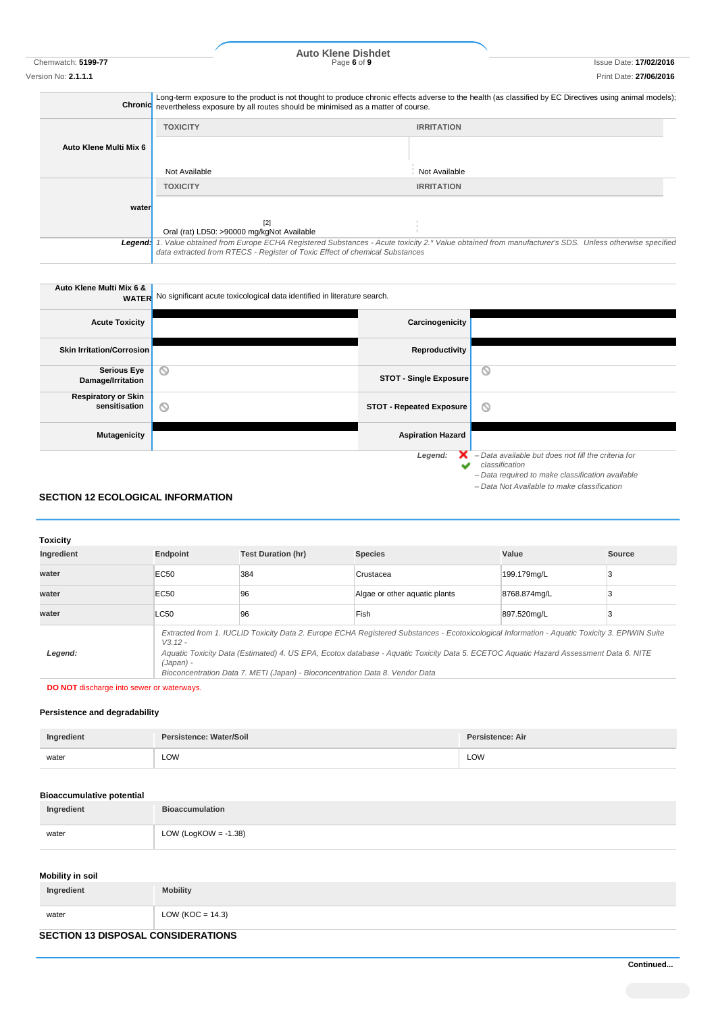Chemwatch: **5199-77** Page **6** of **9** Issue Date: **17/02/2016 Auto Klene Dishdet**

|                        | Long-term exposure to the product is not thought to produce chronic effects adverse to the health (as classified by EC Directives using animal models);<br>Chronic nevertheless exposure by all routes should be minimised as a matter of course. |                                                                                                                                                 |
|------------------------|---------------------------------------------------------------------------------------------------------------------------------------------------------------------------------------------------------------------------------------------------|-------------------------------------------------------------------------------------------------------------------------------------------------|
|                        | <b>TOXICITY</b>                                                                                                                                                                                                                                   | <b>IRRITATION</b>                                                                                                                               |
| Auto Klene Multi Mix 6 |                                                                                                                                                                                                                                                   |                                                                                                                                                 |
|                        | Not Available                                                                                                                                                                                                                                     | Not Available                                                                                                                                   |
|                        | <b>TOXICITY</b>                                                                                                                                                                                                                                   | <b>IRRITATION</b>                                                                                                                               |
| water                  |                                                                                                                                                                                                                                                   |                                                                                                                                                 |
|                        | $[2]$                                                                                                                                                                                                                                             |                                                                                                                                                 |
|                        | Oral (rat) LD50: >90000 mg/kgNot Available                                                                                                                                                                                                        |                                                                                                                                                 |
| Legend:                |                                                                                                                                                                                                                                                   | . Value obtained from Europe ECHA Registered Substances - Acute toxicity 2.* Value obtained from manufacturer's SDS. Unless otherwise specified |
|                        | data extracted from RTECS - Register of Toxic Effect of chemical Substances                                                                                                                                                                       |                                                                                                                                                 |

| Auto Klene Multi Mix 6 &                    | <b>WATER</b> No significant acute toxicological data identified in literature search. |                                                                                                                                                                          |
|---------------------------------------------|---------------------------------------------------------------------------------------|--------------------------------------------------------------------------------------------------------------------------------------------------------------------------|
| <b>Acute Toxicity</b>                       | Carcinogenicity                                                                       |                                                                                                                                                                          |
| Skin Irritation/Corrosion                   | Reproductivity                                                                        |                                                                                                                                                                          |
| <b>Serious Eye</b><br>Damage/Irritation     | $\circ$<br><b>STOT - Single Exposure</b>                                              | O                                                                                                                                                                        |
| <b>Respiratory or Skin</b><br>sensitisation | O<br><b>STOT - Repeated Exposure</b>                                                  | O                                                                                                                                                                        |
| <b>Mutagenicity</b>                         | <b>Aspiration Hazard</b>                                                              |                                                                                                                                                                          |
|                                             | Legend:<br>$\overline{\phantom{a}}$                                                   | - Data available but does not fill the criteria for<br>classification<br>- Data required to make classification available<br>- Data Not Available to make classification |

# **SECTION 12 ECOLOGICAL INFORMATION**

| <b>Toxicity</b> |                                                                                                                                                                                                                                                                                                                                                                                                   |                           |                               |              |        |
|-----------------|---------------------------------------------------------------------------------------------------------------------------------------------------------------------------------------------------------------------------------------------------------------------------------------------------------------------------------------------------------------------------------------------------|---------------------------|-------------------------------|--------------|--------|
| Ingredient      | Endpoint                                                                                                                                                                                                                                                                                                                                                                                          | <b>Test Duration (hr)</b> | <b>Species</b>                | Value        | Source |
| water           | <b>EC50</b>                                                                                                                                                                                                                                                                                                                                                                                       | 384                       | Crustacea                     | 199.179mg/L  |        |
| water           | <b>EC50</b>                                                                                                                                                                                                                                                                                                                                                                                       | 96                        | Algae or other aguatic plants | 8768.874mg/L |        |
| water           | LC50                                                                                                                                                                                                                                                                                                                                                                                              | 96                        | Fish                          | 897.520mg/L  |        |
| Legend:         | Extracted from 1. IUCLID Toxicity Data 2. Europe ECHA Registered Substances - Ecotoxicological Information - Aquatic Toxicity 3. EPIWIN Suite<br>$V.3.12 -$<br>Aquatic Toxicity Data (Estimated) 4. US EPA, Ecotox database - Aquatic Toxicity Data 5. ECETOC Aquatic Hazard Assessment Data 6. NITE<br>(Japan) -<br>Bioconcentration Data 7. METI (Japan) - Bioconcentration Data 8. Vendor Data |                           |                               |              |        |

**DO NOT** discharge into sewer or waterways.

## **Persistence and degradability**

| Ingredient | Persistence: Water/Soil | <b>Persistence: Air</b> |
|------------|-------------------------|-------------------------|
| water      | LOW<br>$-$              | LOW                     |

## **Bioaccumulative potential**

| Ingredient | <b>Bioaccumulation</b>  |
|------------|-------------------------|
| water      | LOW (LogKOW = $-1.38$ ) |

# **Mobility in soil**

| Ingredient                                | <b>Mobility</b>      |
|-------------------------------------------|----------------------|
| water                                     | LOW ( $KOC = 14.3$ ) |
| <b>SECTION 13 DISPOSAL CONSIDERATIONS</b> |                      |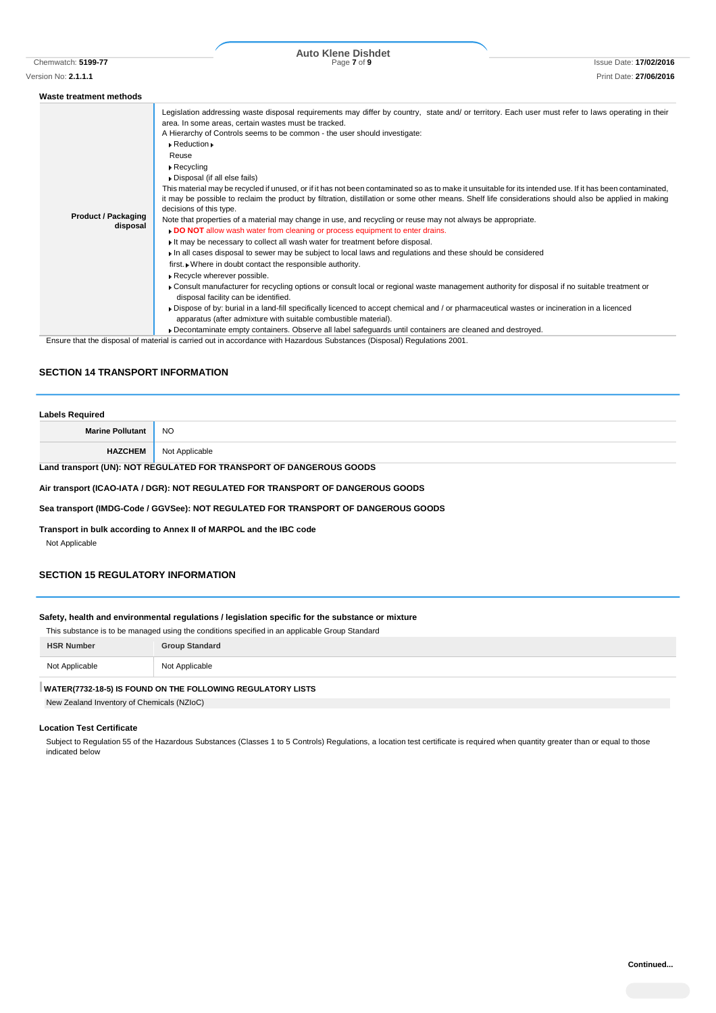| Waste treatment methods                |                                                                                                                                                                                                                                                                                                                                                                                                                                                                                                                                                                                                                                                                                                                                                                                                                                                                                                                                                                                                                                                                                                                                                                                                                                                                                                                                                                                                                                                                                                                                                                                                                                                                                                                                                                                        |
|----------------------------------------|----------------------------------------------------------------------------------------------------------------------------------------------------------------------------------------------------------------------------------------------------------------------------------------------------------------------------------------------------------------------------------------------------------------------------------------------------------------------------------------------------------------------------------------------------------------------------------------------------------------------------------------------------------------------------------------------------------------------------------------------------------------------------------------------------------------------------------------------------------------------------------------------------------------------------------------------------------------------------------------------------------------------------------------------------------------------------------------------------------------------------------------------------------------------------------------------------------------------------------------------------------------------------------------------------------------------------------------------------------------------------------------------------------------------------------------------------------------------------------------------------------------------------------------------------------------------------------------------------------------------------------------------------------------------------------------------------------------------------------------------------------------------------------------|
| <b>Product / Packaging</b><br>disposal | Legislation addressing waste disposal requirements may differ by country, state and/ or territory. Each user must refer to laws operating in their<br>area. In some areas, certain wastes must be tracked.<br>A Hierarchy of Controls seems to be common - the user should investigate:<br>$\triangleright$ Reduction $\triangleright$<br>Reuse<br>$\triangleright$ Recycling<br>Disposal (if all else fails)<br>This material may be recycled if unused, or if it has not been contaminated so as to make it unsuitable for its intended use. If it has been contaminated,<br>it may be possible to reclaim the product by filtration, distillation or some other means. Shelf life considerations should also be applied in making<br>decisions of this type.<br>Note that properties of a material may change in use, and recycling or reuse may not always be appropriate.<br><b>DO NOT</b> allow wash water from cleaning or process equipment to enter drains.<br>It may be necessary to collect all wash water for treatment before disposal.<br>In all cases disposal to sewer may be subject to local laws and regulations and these should be considered<br>first. Where in doubt contact the responsible authority.<br>Recycle wherever possible.<br>• Consult manufacturer for recycling options or consult local or regional waste management authority for disposal if no suitable treatment or<br>disposal facility can be identified.<br>▶ Dispose of by: burial in a land-fill specifically licenced to accept chemical and / or pharmaceutical wastes or incineration in a licenced<br>apparatus (after admixture with suitable combustible material).<br>▶ Decontaminate empty containers. Observe all label safeguards until containers are cleaned and destroyed. |

Ensure that the disposal of material is carried out in accordance with Hazardous Substances (Disposal) Regulations 2001.

#### **SECTION 14 TRANSPORT INFORMATION**

| <b>Labels Required</b>                                                                      |                |  |
|---------------------------------------------------------------------------------------------|----------------|--|
| <b>Marine Pollutant</b>                                                                     | <b>NO</b>      |  |
| <b>HAZCHEM</b>                                                                              | Not Applicable |  |
| $\mathbf{r} = \mathbf{r}$ , and depending the parameter of the second again of $\mathbf{r}$ |                |  |

#### **Land transport (UN): NOT REGULATED FOR TRANSPORT OF DANGEROUS GOODS**

#### **Air transport (ICAO-IATA / DGR): NOT REGULATED FOR TRANSPORT OF DANGEROUS GOODS**

**Sea transport (IMDG-Code / GGVSee): NOT REGULATED FOR TRANSPORT OF DANGEROUS GOODS**

**Transport in bulk according to Annex II of MARPOL and the IBC code**

Not Applicable

# **SECTION 15 REGULATORY INFORMATION**

#### **Safety, health and environmental regulations / legislation specific for the substance or mixture**

| This substance is to be managed using the conditions specified in an applicable Group Standard |                       |
|------------------------------------------------------------------------------------------------|-----------------------|
| <b>HSR Number</b>                                                                              | <b>Group Standard</b> |
| Not Applicable                                                                                 | Not Applicable        |
|                                                                                                |                       |

#### **WATER(7732-18-5) IS FOUND ON THE FOLLOWING REGULATORY LISTS**

New Zealand Inventory of Chemicals (NZIoC)

#### **Location Test Certificate**

Subject to Regulation 55 of the Hazardous Substances (Classes 1 to 5 Controls) Regulations, a location test certificate is required when quantity greater than or equal to those indicated below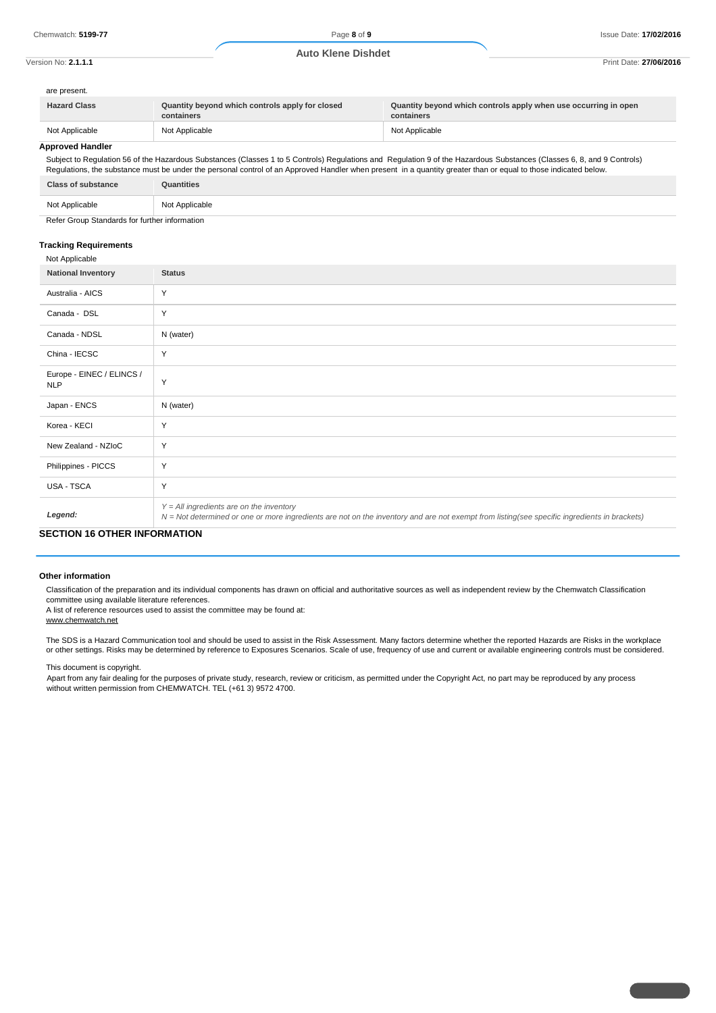are

| are present.        |                                                               |                                                                               |
|---------------------|---------------------------------------------------------------|-------------------------------------------------------------------------------|
| <b>Hazard Class</b> | Quantity beyond which controls apply for closed<br>containers | Quantity beyond which controls apply when use occurring in open<br>containers |
| Not Applicable      | Not Applicable                                                | Not Applicable                                                                |

## **Approved Handler**

Subject to Regulation 56 of the Hazardous Substances (Classes 1 to 5 Controls) Regulations and Regulation 9 of the Hazardous Substances (Classes 6, 8, and 9 Controls) Regulations, the substance must be under the personal control of an Approved Handler when present in a quantity greater than or equal to those indicated below. **Class of substance Quantities**

|  | <b>UIGSS UI SUDSIGHUG</b> | wuannos                 |
|--|---------------------------|-------------------------|
|  | Not Applicable            | Not Applicable<br>ו שטנ |
|  |                           |                         |

Refer Group Standards for further information

#### **Tracking Requirements**

| Not Applicable                          |                                                                                                                                                                                            |
|-----------------------------------------|--------------------------------------------------------------------------------------------------------------------------------------------------------------------------------------------|
| <b>National Inventory</b>               | <b>Status</b>                                                                                                                                                                              |
| Australia - AICS                        | Y                                                                                                                                                                                          |
| Canada - DSL                            | Y                                                                                                                                                                                          |
| Canada - NDSL                           | N (water)                                                                                                                                                                                  |
| China - IECSC                           | Y                                                                                                                                                                                          |
| Europe - EINEC / ELINCS /<br><b>NLP</b> | Y                                                                                                                                                                                          |
| Japan - ENCS                            | N (water)                                                                                                                                                                                  |
| Korea - KECI                            | Y                                                                                                                                                                                          |
| New Zealand - NZIoC                     | Y                                                                                                                                                                                          |
| Philippines - PICCS                     | Y                                                                                                                                                                                          |
| USA - TSCA                              | Y                                                                                                                                                                                          |
| Legend:                                 | $Y = All$ ingredients are on the inventory<br>N = Not determined or one or more ingredients are not on the inventory and are not exempt from listing(see specific ingredients in brackets) |

# **SECTION 16 OTHER INFORMATION**

#### **Other information**

Classification of the preparation and its individual components has drawn on official and authoritative sources as well as independent review by the Chemwatch Classification committee using available literature references.

A list of reference resources used to assist the committee may be found at: www.chemwatch.net

The SDS is a Hazard Communication tool and should be used to assist in the Risk Assessment. Many factors determine whether the reported Hazards are Risks in the workplace or other settings. Risks may be determined by reference to Exposures Scenarios. Scale of use, frequency of use and current or available engineering controls must be considered.

This document is copyright.

Apart from any fair dealing for the purposes of private study, research, review or criticism, as permitted under the Copyright Act, no part may be reproduced by any process without written permission from CHEMWATCH. TEL (+61 3) 9572 4700.